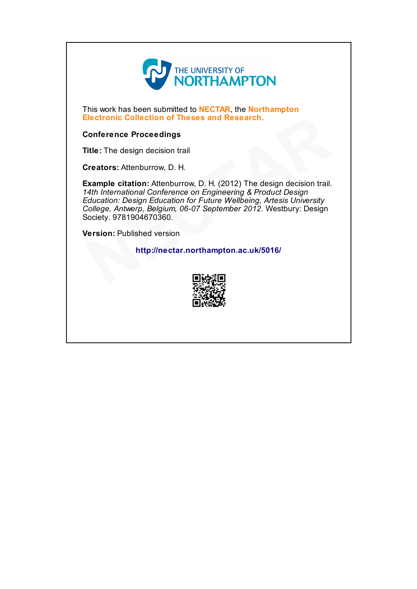

This work has been submitted to **NECTAR**, the **Northampton** Electronic Collection of Theses and Research.

## Conference Proceedings

Title: The design decision trail

Creators: Attenburrow, D. H.

Example citation: Attenburrow, D. H. (2012) The design decision trail. 14th International Conference on Engineering & Product Design Education: Design Education for Future Wellbeing, Artesis University College, Antwerp, Belgium, 06-07 September 2012. Westbury: Design Society. 9781904670360. Electronic Collection of Theses and Research.<br>
Conference Proceedings<br>
Title: The design decision trail<br>
Creators: Attenburrow, D. H.<br>
Example citation: Attenburrow, D. H. (2012) The design decision trail.<br>
4th Internation

Version: Published version

http://nectar.northampton.ac.uk/5016/

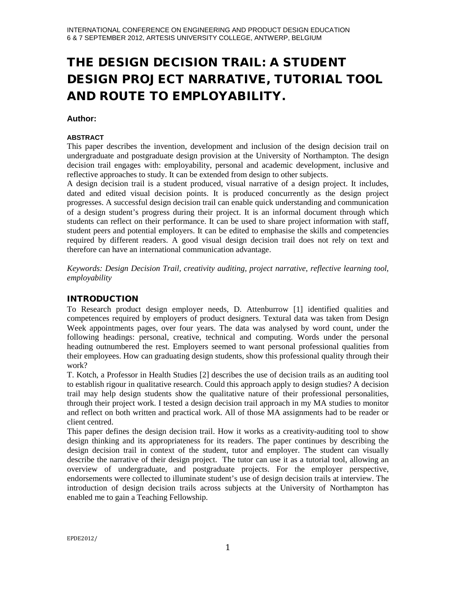# THE DESIGN DECISION TRAIL: A STUDENT DESIGN PROJECT NARRATIVE, TUTORIAL TOOL AND ROUTE TO EMPLOYABILITY.

## **Author:**

#### **ABSTRACT**

This paper describes the invention, development and inclusion of the design decision trail on undergraduate and postgraduate design provision at the University of Northampton. The design decision trail engages with: employability, personal and academic development, inclusive and reflective approaches to study. It can be extended from design to other subjects.

A design decision trail is a student produced, visual narrative of a design project. It includes, dated and edited visual decision points. It is produced concurrently as the design project progresses. A successful design decision trail can enable quick understanding and communication of a design student's progress during their project. It is an informal document through which students can reflect on their performance. It can be used to share project information with staff, student peers and potential employers. It can be edited to emphasise the skills and competencies required by different readers. A good visual design decision trail does not rely on text and therefore can have an international communication advantage.

*Keywords: Design Decision Trail, creativity auditing, project narrative, reflective learning tool, employability*

## INTRODUCTION

To Research product design employer needs, D. Attenburrow [1] identified qualities and competences required by employers of product designers. Textural data was taken from Design Week appointments pages, over four years. The data was analysed by word count, under the following headings: personal, creative, technical and computing. Words under the personal heading outnumbered the rest. Employers seemed to want personal professional qualities from their employees. How can graduating design students, show this professional quality through their work?

T. Kotch, a Professor in Health Studies [2] describes the use of decision trails as an auditing tool to establish rigour in qualitative research. Could this approach apply to design studies? A decision trail may help design students show the qualitative nature of their professional personalities, through their project work. I tested a design decision trail approach in my MA studies to monitor and reflect on both written and practical work. All of those MA assignments had to be reader or client centred.

This paper defines the design decision trail. How it works as a creativity-auditing tool to show design thinking and its appropriateness for its readers. The paper continues by describing the design decision trail in context of the student, tutor and employer. The student can visually describe the narrative of their design project. The tutor can use it as a tutorial tool, allowing an overview of undergraduate, and postgraduate projects. For the employer perspective, endorsements were collected to illuminate student's use of design decision trails at interview. The introduction of design decision trails across subjects at the University of Northampton has enabled me to gain a Teaching Fellowship.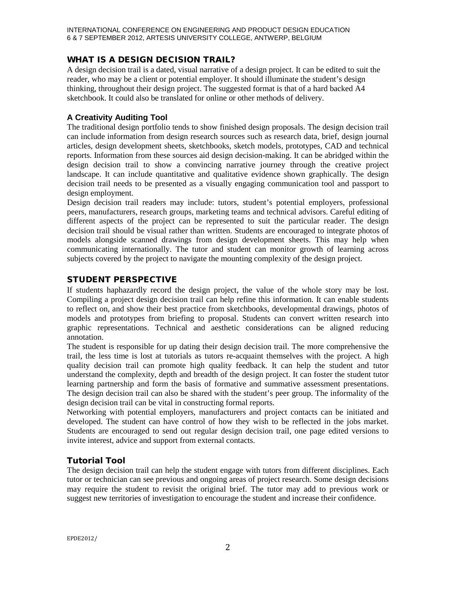# WHAT IS A DESIGN DECISION TRAIL?

A design decision trail is a dated, visual narrative of a design project. It can be edited to suit the reader, who may be a client or potential employer. It should illuminate the student's design thinking, throughout their design project. The suggested format is that of a hard backed A4 sketchbook. It could also be translated for online or other methods of delivery.

## **A Creativity Auditing Tool**

The traditional design portfolio tends to show finished design proposals. The design decision trail can include information from design research sources such as research data, brief, design journal articles, design development sheets, sketchbooks, sketch models, prototypes, CAD and technical reports. Information from these sources aid design decision-making. It can be abridged within the design decision trail to show a convincing narrative journey through the creative project landscape. It can include quantitative and qualitative evidence shown graphically. The design decision trail needs to be presented as a visually engaging communication tool and passport to design employment.

Design decision trail readers may include: tutors, student's potential employers, professional peers, manufacturers, research groups, marketing teams and technical advisors. Careful editing of different aspects of the project can be represented to suit the particular reader. The design decision trail should be visual rather than written. Students are encouraged to integrate photos of models alongside scanned drawings from design development sheets. This may help when communicating internationally. The tutor and student can monitor growth of learning across subjects covered by the project to navigate the mounting complexity of the design project.

# STUDENT PERSPECTIVE

If students haphazardly record the design project, the value of the whole story may be lost. Compiling a project design decision trail can help refine this information. It can enable students to reflect on, and show their best practice from sketchbooks, developmental drawings, photos of models and prototypes from briefing to proposal. Students can convert written research into graphic representations. Technical and aesthetic considerations can be aligned reducing annotation.

The student is responsible for up dating their design decision trail. The more comprehensive the trail, the less time is lost at tutorials as tutors re-acquaint themselves with the project. A high quality decision trail can promote high quality feedback. It can help the student and tutor understand the complexity, depth and breadth of the design project. It can foster the student tutor learning partnership and form the basis of formative and summative assessment presentations. The design decision trail can also be shared with the student's peer group. The informality of the design decision trail can be vital in constructing formal reports.

Networking with potential employers, manufacturers and project contacts can be initiated and developed. The student can have control of how they wish to be reflected in the jobs market. Students are encouraged to send out regular design decision trail, one page edited versions to invite interest, advice and support from external contacts.

# **Tutorial Tool**

The design decision trail can help the student engage with tutors from different disciplines. Each tutor or technician can see previous and ongoing areas of project research. Some design decisions may require the student to revisit the original brief. The tutor may add to previous work or suggest new territories of investigation to encourage the student and increase their confidence.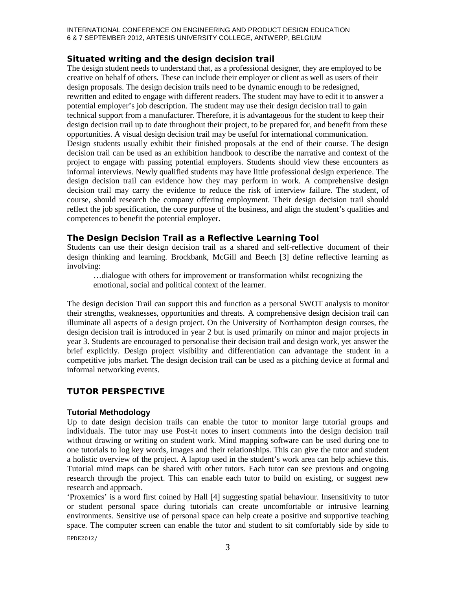#### INTERNATIONAL CONFERENCE ON ENGINEERING AND PRODUCT DESIGN EDUCATION 6 & 7 SEPTEMBER 2012, ARTESIS UNIVERSITY COLLEGE, ANTWERP, BELGIUM

## **Situated writing and the design decision trail**

The design student needs to understand that, as a professional designer, they are employed to be creative on behalf of others. These can include their employer or client as well as users of their design proposals. The design decision trails need to be dynamic enough to be redesigned, rewritten and edited to engage with different readers. The student may have to edit it to answer a potential employer's job description. The student may use their design decision trail to gain technical support from a manufacturer. Therefore, it is advantageous for the student to keep their design decision trail up to date throughout their project, to be prepared for, and benefit from these opportunities. A visual design decision trail may be useful for international communication. Design students usually exhibit their finished proposals at the end of their course. The design decision trail can be used as an exhibition handbook to describe the narrative and context of the project to engage with passing potential employers. Students should view these encounters as informal interviews. Newly qualified students may have little professional design experience. The design decision trail can evidence how they may perform in work. A comprehensive design decision trail may carry the evidence to reduce the risk of interview failure. The student, of course, should research the company offering employment. Their design decision trail should reflect the job specification, the core purpose of the business, and align the student's qualities and competences to benefit the potential employer.

## **The Design Decision Trail as a Reflective Learning Tool**

Students can use their design decision trail as a shared and self-reflective document of their design thinking and learning. Brockbank, McGill and Beech [3] define reflective learning as involving:

…dialogue with others for improvement or transformation whilst recognizing the emotional, social and political context of the learner.

The design decision Trail can support this and function as a personal SWOT analysis to monitor their strengths, weaknesses, opportunities and threats. A comprehensive design decision trail can illuminate all aspects of a design project. On the University of Northampton design courses, the design decision trail is introduced in year 2 but is used primarily on minor and major projects in year 3. Students are encouraged to personalise their decision trail and design work, yet answer the brief explicitly. Design project visibility and differentiation can advantage the student in a competitive jobs market. The design decision trail can be used as a pitching device at formal and informal networking events.

## TUTOR PERSPECTIVE

## **Tutorial Methodology**

Up to date design decision trails can enable the tutor to monitor large tutorial groups and individuals. The tutor may use Post-it notes to insert comments into the design decision trail without drawing or writing on student work. Mind mapping software can be used during one to one tutorials to log key words, images and their relationships. This can give the tutor and student a holistic overview of the project. A laptop used in the student's work area can help achieve this. Tutorial mind maps can be shared with other tutors. Each tutor can see previous and ongoing research through the project. This can enable each tutor to build on existing, or suggest new research and approach.

'Proxemics' is a word first coined by Hall [4] suggesting spatial behaviour. Insensitivity to tutor or student personal space during tutorials can create uncomfortable or intrusive learning environments. Sensitive use of personal space can help create a positive and supportive teaching space. The computer screen can enable the tutor and student to sit comfortably side by side to

EPDE2012/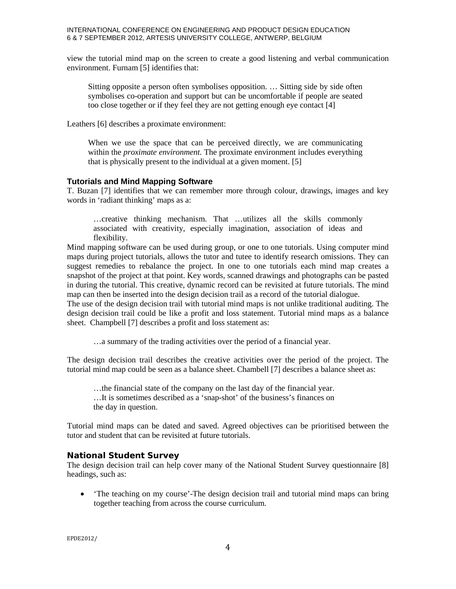#### INTERNATIONAL CONFERENCE ON ENGINEERING AND PRODUCT DESIGN EDUCATION 6 & 7 SEPTEMBER 2012, ARTESIS UNIVERSITY COLLEGE, ANTWERP, BELGIUM

view the tutorial mind map on the screen to create a good listening and verbal communication environment. Furnam [5] identifies that:

Sitting opposite a person often symbolises opposition. … Sitting side by side often symbolises co-operation and support but can be uncomfortable if people are seated too close together or if they feel they are not getting enough eye contact [4]

Leathers [6] describes a proximate environment:

When we use the space that can be perceived directly, we are communicating within the *proximate environment.* The proximate environment includes everything that is physically present to the individual at a given moment. [5]

#### **Tutorials and Mind Mapping Software**

T. Buzan [7] identifies that we can remember more through colour, drawings, images and key words in 'radiant thinking' maps as a:

…creative thinking mechanism. That …utilizes all the skills commonly associated with creativity, especially imagination, association of ideas and flexibility.

Mind mapping software can be used during group, or one to one tutorials. Using computer mind maps during project tutorials, allows the tutor and tutee to identify research omissions. They can suggest remedies to rebalance the project. In one to one tutorials each mind map creates a snapshot of the project at that point. Key words, scanned drawings and photographs can be pasted in during the tutorial. This creative, dynamic record can be revisited at future tutorials. The mind map can then be inserted into the design decision trail as a record of the tutorial dialogue.

The use of the design decision trail with tutorial mind maps is not unlike traditional auditing. The design decision trail could be like a profit and loss statement. Tutorial mind maps as a balance sheet. Champbell [7] describes a profit and loss statement as:

…a summary of the trading activities over the period of a financial year.

The design decision trail describes the creative activities over the period of the project. The tutorial mind map could be seen as a balance sheet. Chambell [7] describes a balance sheet as:

…the financial state of the company on the last day of the financial year.

…It is sometimes described as a 'snap-shot' of the business's finances on the day in question.

Tutorial mind maps can be dated and saved. Agreed objectives can be prioritised between the tutor and student that can be revisited at future tutorials.

## **National Student Survey**

The design decision trail can help cover many of the National Student Survey questionnaire [8] headings, such as:

• The teaching on my course'-The design decision trail and tutorial mind maps can bring together teaching from across the course curriculum.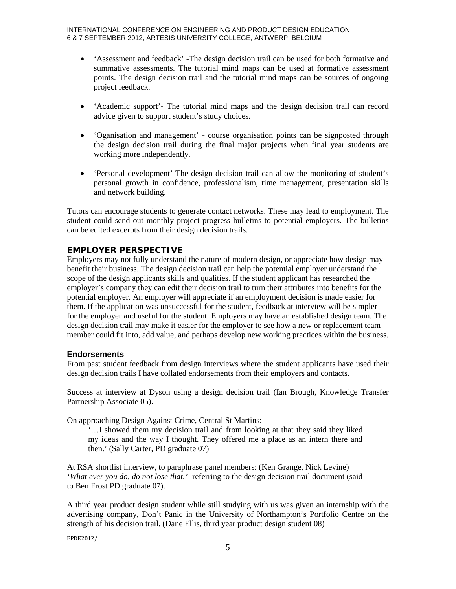- 'Assessment and feedback' -The design decision trail can be used for both formative and summative assessments. The tutorial mind maps can be used at formative assessment points. The design decision trail and the tutorial mind maps can be sources of ongoing project feedback.
- 'Academic support'- The tutorial mind maps and the design decision trail can record advice given to support student's study choices.
- 'Oganisation and management' course organisation points can be signposted through the design decision trail during the final major projects when final year students are working more independently.
- 'Personal development'-The design decision trail can allow the monitoring of student's personal growth in confidence, professionalism, time management, presentation skills and network building.

Tutors can encourage students to generate contact networks. These may lead to employment. The student could send out monthly project progress bulletins to potential employers. The bulletins can be edited excerpts from their design decision trails.

## **EMPLOYER PERSPECTIVE**

Employers may not fully understand the nature of modern design, or appreciate how design may benefit their business. The design decision trail can help the potential employer understand the scope of the design applicants skills and qualities. If the student applicant has researched the employer's company they can edit their decision trail to turn their attributes into benefits for the potential employer. An employer will appreciate if an employment decision is made easier for them. If the application was unsuccessful for the student, feedback at interview will be simpler for the employer and useful for the student. Employers may have an established design team. The design decision trail may make it easier for the employer to see how a new or replacement team member could fit into, add value, and perhaps develop new working practices within the business.

## **Endorsements**

From past student feedback from design interviews where the student applicants have used their design decision trails I have collated endorsements from their employers and contacts.

Success at interview at Dyson using a design decision trail (Ian Brough, Knowledge Transfer Partnership Associate 05).

On approaching Design Against Crime, Central St Martins:

'…I showed them my decision trail and from looking at that they said they liked my ideas and the way I thought. They offered me a place as an intern there and then.' (Sally Carter, PD graduate 07)

At RSA shortlist interview, to paraphrase panel members: (Ken Grange, Nick Levine) *'What ever you do, do not lose that.'* -referring to the design decision trail document (said to Ben Frost PD graduate 07).

A third year product design student while still studying with us was given an internship with the advertising company, Don't Panic in the University of Northampton's Portfolio Centre on the strength of his decision trail. (Dane Ellis, third year product design student 08)

EPDE2012/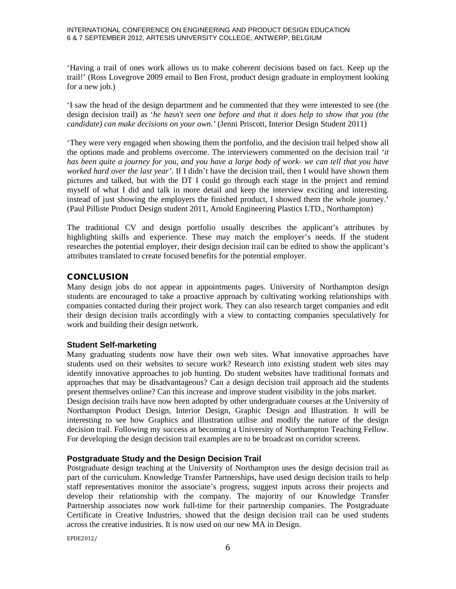'Having a trail of ones work allows us to make coherent decisions based on fact. Keep up the trail!' (Ross Lovegrove 2009 email to Ben Frost, product design graduate in employment looking for a new job.)

'I saw the head of the design department and he commented that they were interested to see (the design decision trail) as '*he hasn't seen one before and that it does help to show that you (the candidate) can make decisions on your own.'* (Jenni Priscott, Interior Design Student 2011)

'They were very engaged when showing them the portfolio, and the decision trail helped show all the options made and problems overcome. The interviewers commented on the decision trail *'it has been quite a journey for you, and you have a large body of work- we can tell that you have worked hard over the last year'.* If I didn't have the decision trail, then I would have shown them pictures and talked, but with the DT I could go through each stage in the project and remind myself of what I did and talk in more detail and keep the interview exciting and interesting. instead of just showing the employers the finished product, I showed them the whole journey.' (Paul Pilliste Product Design student 2011, Arnold Engineering Plastics LTD., Northampton)

The traditional CV and design portfolio usually describes the applicant's attributes by highlighting skills and experience. These may match the employer's needs. If the student researches the potential employer, their design decision trail can be edited to show the applicant's attributes translated to create focused benefits for the potential employer.

## **CONCLUSION**

Many design jobs do not appear in appointments pages. University of Northampton design students are encouraged to take a proactive approach by cultivating working relationships with companies contacted during their project work. They can also research target companies and edit their design decision trails accordingly with a view to contacting companies speculatively for work and building their design network.

## **Student Self-marketing**

Many graduating students now have their own web sites. What innovative approaches have students used on their websites to secure work? Research into existing student web sites may identify innovative approaches to job hunting. Do student websites have traditional formats and approaches that may be disadvantageous? Can a design decision trail approach aid the students present themselves online? Can this increase and improve student visibility in the jobs market.

Design decision trails have now been adopted by other undergraduate courses at the University of Northampton Product Design, Interior Design, Graphic Design and Illustration. It will be interesting to see how Graphics and illustration utilise and modify the nature of the design decision trail. Following my success at becoming a University of Northampton Teaching Fellow. For developing the design decision trail examples are to be broadcast on corridor screens.

## **Postgraduate Study and the Design Decision Trail**

Postgraduate design teaching at the University of Northampton uses the design decision trail as part of the curriculum. Knowledge Transfer Partnerships, have used design decision trails to help staff representatives monitor the associate's progress, suggest inputs across their projects and develop their relationship with the company. The majority of our Knowledge Transfer Partnership associates now work full-time for their partnership companies. The Postgraduate Certificate in Creative Industries, showed that the design decision trail can be used students across the creative industries. It is now used on our new MA in Design.

EPDE2012/